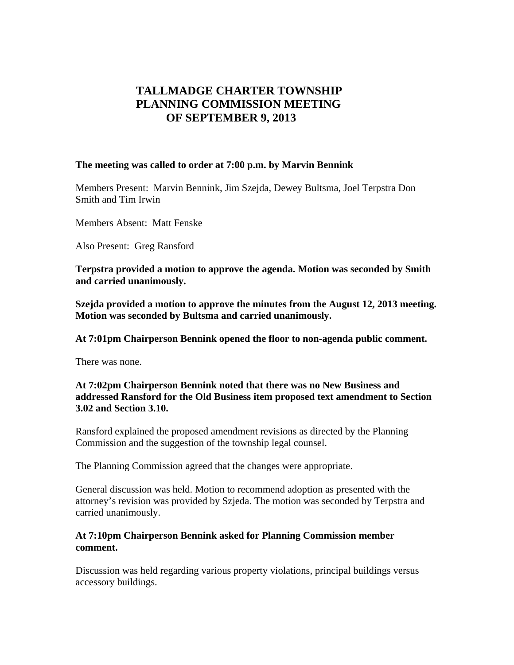# **TALLMADGE CHARTER TOWNSHIP PLANNING COMMISSION MEETING OF SEPTEMBER 9, 2013**

#### **The meeting was called to order at 7:00 p.m. by Marvin Bennink**

Members Present: Marvin Bennink, Jim Szejda, Dewey Bultsma, Joel Terpstra Don Smith and Tim Irwin

Members Absent: Matt Fenske

Also Present: Greg Ransford

**Terpstra provided a motion to approve the agenda. Motion was seconded by Smith and carried unanimously.** 

**Szejda provided a motion to approve the minutes from the August 12, 2013 meeting. Motion was seconded by Bultsma and carried unanimously.** 

**At 7:01pm Chairperson Bennink opened the floor to non-agenda public comment.** 

There was none.

### **At 7:02pm Chairperson Bennink noted that there was no New Business and addressed Ransford for the Old Business item proposed text amendment to Section 3.02 and Section 3.10.**

Ransford explained the proposed amendment revisions as directed by the Planning Commission and the suggestion of the township legal counsel.

The Planning Commission agreed that the changes were appropriate.

General discussion was held. Motion to recommend adoption as presented with the attorney's revision was provided by Szjeda. The motion was seconded by Terpstra and carried unanimously.

### **At 7:10pm Chairperson Bennink asked for Planning Commission member comment.**

Discussion was held regarding various property violations, principal buildings versus accessory buildings.